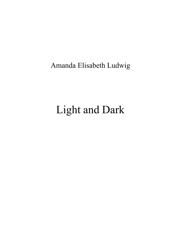Amanda Elisabeth Ludwig

## Light and Dark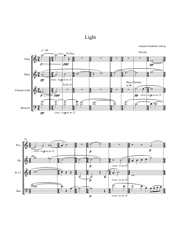





Amanda Elisabeth Ludwig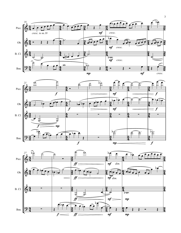





3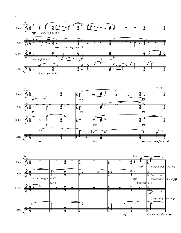



![](_page_3_Figure_2.jpeg)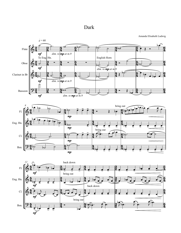![](_page_4_Figure_0.jpeg)

Amanda Elisabeth Ludwig

![](_page_4_Figure_2.jpeg)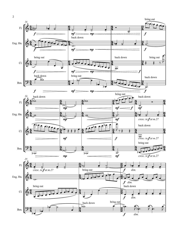![](_page_5_Figure_0.jpeg)